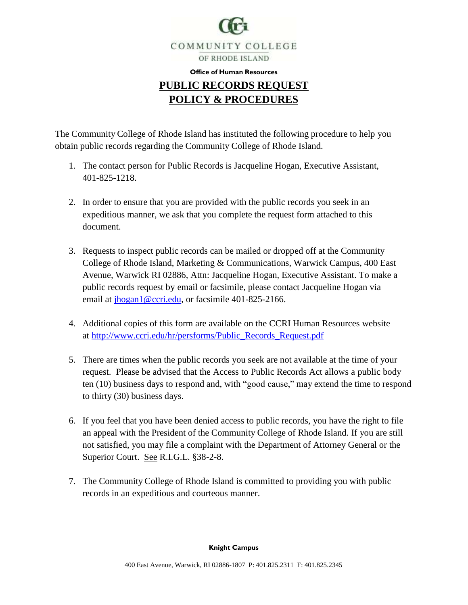

## **Office of Human Resources PUBLIC RECORDS REQUEST POLICY & PROCEDURES**

The Community College of Rhode Island has instituted the following procedure to help you obtain public records regarding the Community College of Rhode Island.

- 1. The contact person for Public Records is Jacqueline Hogan, Executive Assistant, 401-825-1218.
- 2. In order to ensure that you are provided with the public records you seek in an expeditious manner, we ask that you complete the request form attached to this document.
- 3. Requests to inspect public records can be mailed or dropped off at the Community College of Rhode Island, Marketing & Communications, Warwick Campus, 400 East Avenue, Warwick RI 02886, Attn: Jacqueline Hogan, Executive Assistant. To make a public records request by email or facsimile, please contact Jacqueline Hogan via email at [jhogan1@ccri.edu,](mailto:jhogan1@ccri.edu) or facsimile 401-825-2166.
- 4. Additional copies of this form are available on the CCRI Human Resources website at [http://www.ccri.edu/hr/persforms/Public\\_Records\\_Request.pdf](http://www.ccri.edu/hr/persforms/Public_Records_Request.pdf)
- 5. There are times when the public records you seek are not available at the time of your request. Please be advised that the Access to Public Records Act allows a public body ten (10) business days to respond and, with "good cause," may extend the time to respond to thirty (30) business days.
- 6. If you feel that you have been denied access to public records, you have the right to file an appeal with the President of the Community College of Rhode Island. If you are still not satisfied, you may file a complaint with the Department of Attorney General or the Superior Court. See R.I.G.L. §38-2-8.
- 7. The Community College of Rhode Island is committed to providing you with public records in an expeditious and courteous manner.

**Knight Campus**